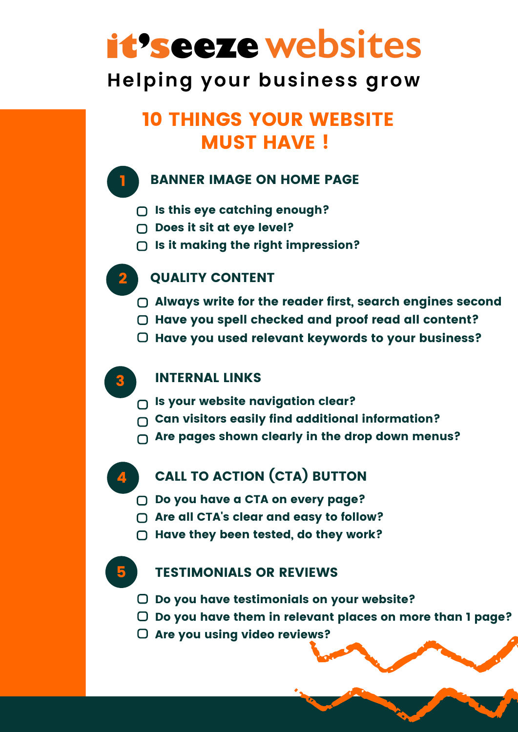# it's eeze websites

# **Helping your business grow**

# 10 THINGS YOUR WEBSITE **MUST HAVE!**

## BANNER IMAGE ON HOME PAGE

- $\bigcap$  Is this eye catching enough?
- $\bigcap$  Does it sit at eye level?
- $\bigcap$  Is it making the right impression?



1

## QUALITY CONTENT

- Always write for the reader first, search engines second
- O Have you spell checked and proof read all content?
- $\Box$  Have you used relevant keywords to your business?



### INTERNAL LINKS

- $\bigcap$  Is your website navigation clear?
- $\cap$  Can visitors easily find additional information?
- $\bigcap$  Are pages shown clearly in the drop down menus?



# **CALL TO ACTION (CTA) BUTTON**

- □ Do you have a CTA on every page?
- ◯ Are all CTA's clear and easy to follow?
- $\bigcirc$  Have they been tested, do they work?



### TESTIMONIALS OR REVIEWS

- $\Box$  Do you have testimonials on your website?
- $\Box$  Do you have them in relevant places on more than 1 page?
- O Are you using video reviews?